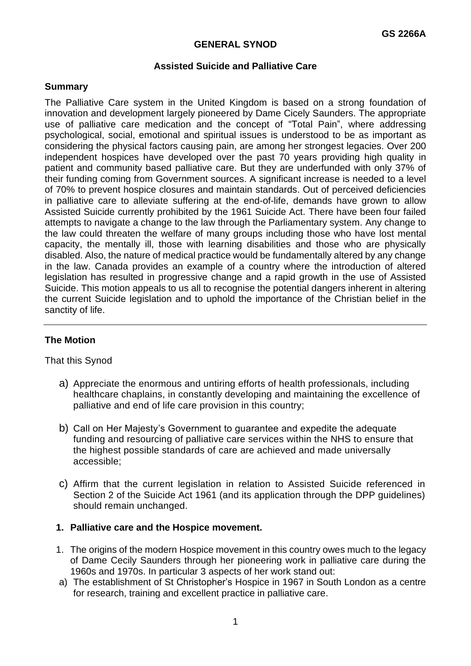## **GENERAL SYNOD**

### **Assisted Suicide and Palliative Care**

### **Summary**

The Palliative Care system in the United Kingdom is based on a strong foundation of innovation and development largely pioneered by Dame Cicely Saunders. The appropriate use of palliative care medication and the concept of "Total Pain", where addressing psychological, social, emotional and spiritual issues is understood to be as important as considering the physical factors causing pain, are among her strongest legacies. Over 200 independent hospices have developed over the past 70 years providing high quality in patient and community based palliative care. But they are underfunded with only 37% of their funding coming from Government sources. A significant increase is needed to a level of 70% to prevent hospice closures and maintain standards. Out of perceived deficiencies in palliative care to alleviate suffering at the end-of-life, demands have grown to allow Assisted Suicide currently prohibited by the 1961 Suicide Act. There have been four failed attempts to navigate a change to the law through the Parliamentary system. Any change to the law could threaten the welfare of many groups including those who have lost mental capacity, the mentally ill, those with learning disabilities and those who are physically disabled. Also, the nature of medical practice would be fundamentally altered by any change in the law. Canada provides an example of a country where the introduction of altered legislation has resulted in progressive change and a rapid growth in the use of Assisted Suicide. This motion appeals to us all to recognise the potential dangers inherent in altering the current Suicide legislation and to uphold the importance of the Christian belief in the sanctity of life.

## **The Motion**

That this Synod

- a) Appreciate the enormous and untiring efforts of health professionals, including healthcare chaplains, in constantly developing and maintaining the excellence of palliative and end of life care provision in this country;
- b) Call on Her Majesty's Government to guarantee and expedite the adequate funding and resourcing of palliative care services within the NHS to ensure that the highest possible standards of care are achieved and made universally accessible;
- c) Affirm that the current legislation in relation to Assisted Suicide referenced in Section 2 of the Suicide Act 1961 (and its application through the DPP guidelines) should remain unchanged.

#### **1. Palliative care and the Hospice movement.**

- 1. The origins of the modern Hospice movement in this country owes much to the legacy of Dame Cecily Saunders through her pioneering work in palliative care during the 1960s and 1970s. In particular 3 aspects of her work stand out:
- a) The establishment of St Christopher's Hospice in 1967 in South London as a centre for research, training and excellent practice in palliative care.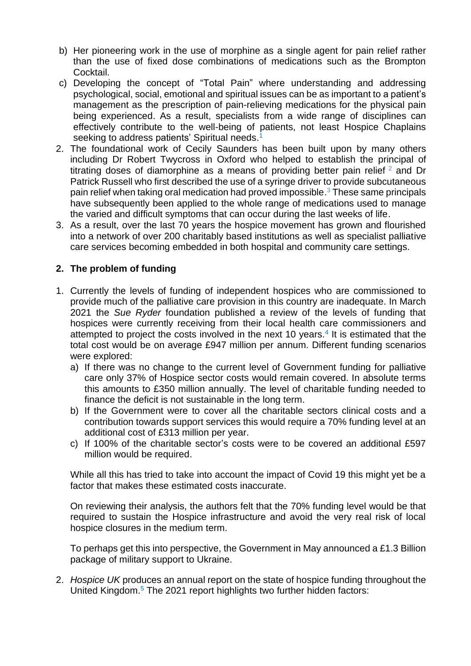- b) Her pioneering work in the use of morphine as a single agent for pain relief rather than the use of fixed dose combinations of medications such as the Brompton Cocktail.
- c) Developing the concept of "Total Pain" where understanding and addressing psychological, social, emotional and spiritual issues can be as important to a patient's management as the prescription of pain-relieving medications for the physical pain being experienced. As a result, specialists from a wide range of disciplines can effectively contribute to the well-being of patients, not least Hospice Chaplains seeking to address patients' Spiritual needs.<sup>1</sup>
- 2. The foundational work of Cecily Saunders has been built upon by many others including Dr Robert Twycross in Oxford who helped to establish the principal of titrating doses of diamorphine as a means of providing better pain relief  $2$  and Dr Patrick Russell who first described the use of a syringe driver to provide subcutaneous pain relief when taking oral medication had proved impossible. <sup>3</sup> These same principals have subsequently been applied to the whole range of medications used to manage the varied and difficult symptoms that can occur during the last weeks of life.
- 3. As a result, over the last 70 years the hospice movement has grown and flourished into a network of over 200 charitably based institutions as well as specialist palliative care services becoming embedded in both hospital and community care settings.

# **2. The problem of funding**

- 1. Currently the levels of funding of independent hospices who are commissioned to provide much of the palliative care provision in this country are inadequate. In March 2021 the *Sue Ryder* foundation published a review of the levels of funding that hospices were currently receiving from their local health care commissioners and attempted to project the costs involved in the next 10 years.<sup>4</sup> It is estimated that the total cost would be on average £947 million per annum. Different funding scenarios were explored:
	- a) If there was no change to the current level of Government funding for palliative care only 37% of Hospice sector costs would remain covered. In absolute terms this amounts to £350 million annually. The level of charitable funding needed to finance the deficit is not sustainable in the long term.
	- b) If the Government were to cover all the charitable sectors clinical costs and a contribution towards support services this would require a 70% funding level at an additional cost of £313 million per year.
	- c) If 100% of the charitable sector's costs were to be covered an additional £597 million would be required.

While all this has tried to take into account the impact of Covid 19 this might yet be a factor that makes these estimated costs inaccurate.

On reviewing their analysis, the authors felt that the 70% funding level would be that required to sustain the Hospice infrastructure and avoid the very real risk of local hospice closures in the medium term.

To perhaps get this into perspective, the Government in May announced a £1.3 Billion package of military support to Ukraine.

2. *Hospice UK* produces an annual report on the state of hospice funding throughout the United Kingdom. <sup>5</sup> The 2021 report highlights two further hidden factors: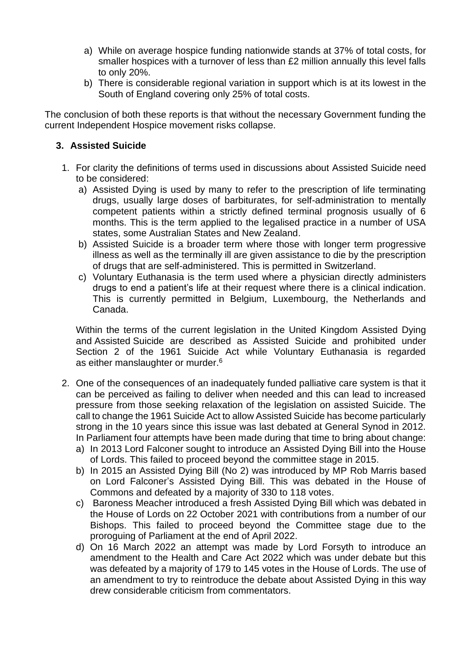- a) While on average hospice funding nationwide stands at 37% of total costs, for smaller hospices with a turnover of less than £2 million annually this level falls to only 20%.
- b) There is considerable regional variation in support which is at its lowest in the South of England covering only 25% of total costs.

The conclusion of both these reports is that without the necessary Government funding the current Independent Hospice movement risks collapse.

# **3. Assisted Suicide**

- 1. For clarity the definitions of terms used in discussions about Assisted Suicide need to be considered:
	- a) Assisted Dying is used by many to refer to the prescription of life terminating drugs, usually large doses of barbiturates, for self-administration to mentally competent patients within a strictly defined terminal prognosis usually of 6 months. This is the term applied to the legalised practice in a number of USA states, some Australian States and New Zealand.
	- b) Assisted Suicide is a broader term where those with longer term progressive illness as well as the terminally ill are given assistance to die by the prescription of drugs that are self-administered. This is permitted in Switzerland.
	- c) Voluntary Euthanasia is the term used where a physician directly administers drugs to end a patient's life at their request where there is a clinical indication. This is currently permitted in Belgium, Luxembourg, the Netherlands and Canada.

Within the terms of the current legislation in the United Kingdom Assisted Dying and Assisted Suicide are described as Assisted Suicide and prohibited under Section 2 of the 1961 Suicide Act while Voluntary Euthanasia is regarded as either manslaughter or murder.<sup>6</sup>

- 2. One of the consequences of an inadequately funded palliative care system is that it can be perceived as failing to deliver when needed and this can lead to increased pressure from those seeking relaxation of the legislation on assisted Suicide. The call to change the 1961 Suicide Act to allow Assisted Suicide has become particularly strong in the 10 years since this issue was last debated at General Synod in 2012. In Parliament four attempts have been made during that time to bring about change:
	- a) In 2013 Lord Falconer sought to introduce an Assisted Dying Bill into the House of Lords. This failed to proceed beyond the committee stage in 2015.
	- b) In 2015 an Assisted Dying Bill (No 2) was introduced by MP Rob Marris based on Lord Falconer's Assisted Dying Bill. This was debated in the House of Commons and defeated by a majority of 330 to 118 votes.
	- c) Baroness Meacher introduced a fresh Assisted Dying Bill which was debated in the House of Lords on 22 October 2021 with contributions from a number of our Bishops. This failed to proceed beyond the Committee stage due to the proroguing of Parliament at the end of April 2022.
	- d) On 16 March 2022 an attempt was made by Lord Forsyth to introduce an amendment to the Health and Care Act 2022 which was under debate but this was defeated by a majority of 179 to 145 votes in the House of Lords. The use of an amendment to try to reintroduce the debate about Assisted Dying in this way drew considerable criticism from commentators.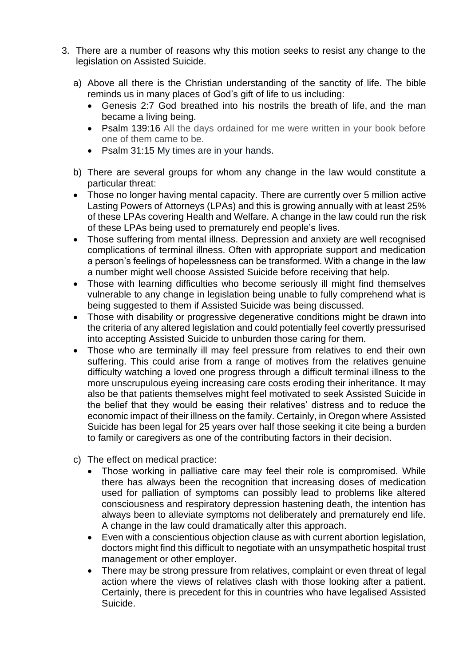- 3. There are a number of reasons why this motion seeks to resist any change to the legislation on Assisted Suicide.
	- a) Above all there is the Christian understanding of the sanctity of life. The bible reminds us in many places of God's gift of life to us including:
		- Genesis 2:7 God breathed into his nostrils the breath of life, and the man became a living being.
		- Psalm 139:16 All the days ordained for me were written in your book before one of them came to be.
		- Psalm 31:15 My times are in your hands.
	- b) There are several groups for whom any change in the law would constitute a particular threat:
	- Those no longer having mental capacity. There are currently over 5 million active Lasting Powers of Attorneys (LPAs) and this is growing annually with at least 25% of these LPAs covering Health and Welfare. A change in the law could run the risk of these LPAs being used to prematurely end people's lives.
	- Those suffering from mental illness. Depression and anxiety are well recognised complications of terminal illness. Often with appropriate support and medication a person's feelings of hopelessness can be transformed. With a change in the law a number might well choose Assisted Suicide before receiving that help.
	- Those with learning difficulties who become seriously ill might find themselves vulnerable to any change in legislation being unable to fully comprehend what is being suggested to them if Assisted Suicide was being discussed.
	- Those with disability or progressive degenerative conditions might be drawn into the criteria of any altered legislation and could potentially feel covertly pressurised into accepting Assisted Suicide to unburden those caring for them.
	- Those who are terminally ill may feel pressure from relatives to end their own suffering. This could arise from a range of motives from the relatives genuine difficulty watching a loved one progress through a difficult terminal illness to the more unscrupulous eyeing increasing care costs eroding their inheritance. It may also be that patients themselves might feel motivated to seek Assisted Suicide in the belief that they would be easing their relatives' distress and to reduce the economic impact of their illness on the family. Certainly, in Oregon where Assisted Suicide has been legal for 25 years over half those seeking it cite being a burden to family or caregivers as one of the contributing factors in their decision.
	- c) The effect on medical practice:
		- Those working in palliative care may feel their role is compromised. While there has always been the recognition that increasing doses of medication used for palliation of symptoms can possibly lead to problems like altered consciousness and respiratory depression hastening death, the intention has always been to alleviate symptoms not deliberately and prematurely end life. A change in the law could dramatically alter this approach.
		- Even with a conscientious objection clause as with current abortion legislation, doctors might find this difficult to negotiate with an unsympathetic hospital trust management or other employer.
		- There may be strong pressure from relatives, complaint or even threat of legal action where the views of relatives clash with those looking after a patient. Certainly, there is precedent for this in countries who have legalised Assisted Suicide.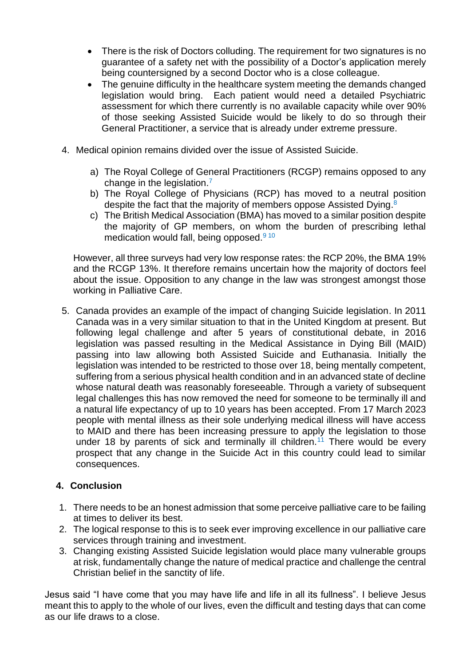- There is the risk of Doctors colluding. The requirement for two signatures is no guarantee of a safety net with the possibility of a Doctor's application merely being countersigned by a second Doctor who is a close colleague.
- The genuine difficulty in the healthcare system meeting the demands changed legislation would bring. Each patient would need a detailed Psychiatric assessment for which there currently is no available capacity while over 90% of those seeking Assisted Suicide would be likely to do so through their General Practitioner, a service that is already under extreme pressure.
- 4. Medical opinion remains divided over the issue of Assisted Suicide.
	- a) The Royal College of General Practitioners (RCGP) remains opposed to any change in the legislation.<sup>7</sup>
	- b) The Royal College of Physicians (RCP) has moved to a neutral position despite the fact that the majority of members oppose Assisted Dying.<sup>8</sup>
	- c) The British Medical Association (BMA) has moved to a similar position despite the majority of GP members, on whom the burden of prescribing lethal medication would fall, being opposed.<sup>9 10</sup>

However, all three surveys had very low response rates: the RCP 20%, the BMA 19% and the RCGP 13%. It therefore remains uncertain how the majority of doctors feel about the issue. Opposition to any change in the law was strongest amongst those working in Palliative Care.

5. Canada provides an example of the impact of changing Suicide legislation. In 2011 Canada was in a very similar situation to that in the United Kingdom at present. But following legal challenge and after 5 years of constitutional debate, in 2016 legislation was passed resulting in the Medical Assistance in Dying Bill (MAID) passing into law allowing both Assisted Suicide and Euthanasia. Initially the legislation was intended to be restricted to those over 18, being mentally competent, suffering from a serious physical health condition and in an advanced state of decline whose natural death was reasonably foreseeable. Through a variety of subsequent legal challenges this has now removed the need for someone to be terminally ill and a natural life expectancy of up to 10 years has been accepted. From 17 March 2023 people with mental illness as their sole underlying medical illness will have access to MAID and there has been increasing pressure to apply the legislation to those under 18 by parents of sick and terminally ill children.<sup>11</sup> There would be every prospect that any change in the Suicide Act in this country could lead to similar consequences.

# **4. Conclusion**

- 1. There needs to be an honest admission that some perceive palliative care to be failing at times to deliver its best.
- 2. The logical response to this is to seek ever improving excellence in our palliative care services through training and investment.
- 3. Changing existing Assisted Suicide legislation would place many vulnerable groups at risk, fundamentally change the nature of medical practice and challenge the central Christian belief in the sanctity of life.

Jesus said "I have come that you may have life and life in all its fullness". I believe Jesus meant this to apply to the whole of our lives, even the difficult and testing days that can come as our life draws to a close.